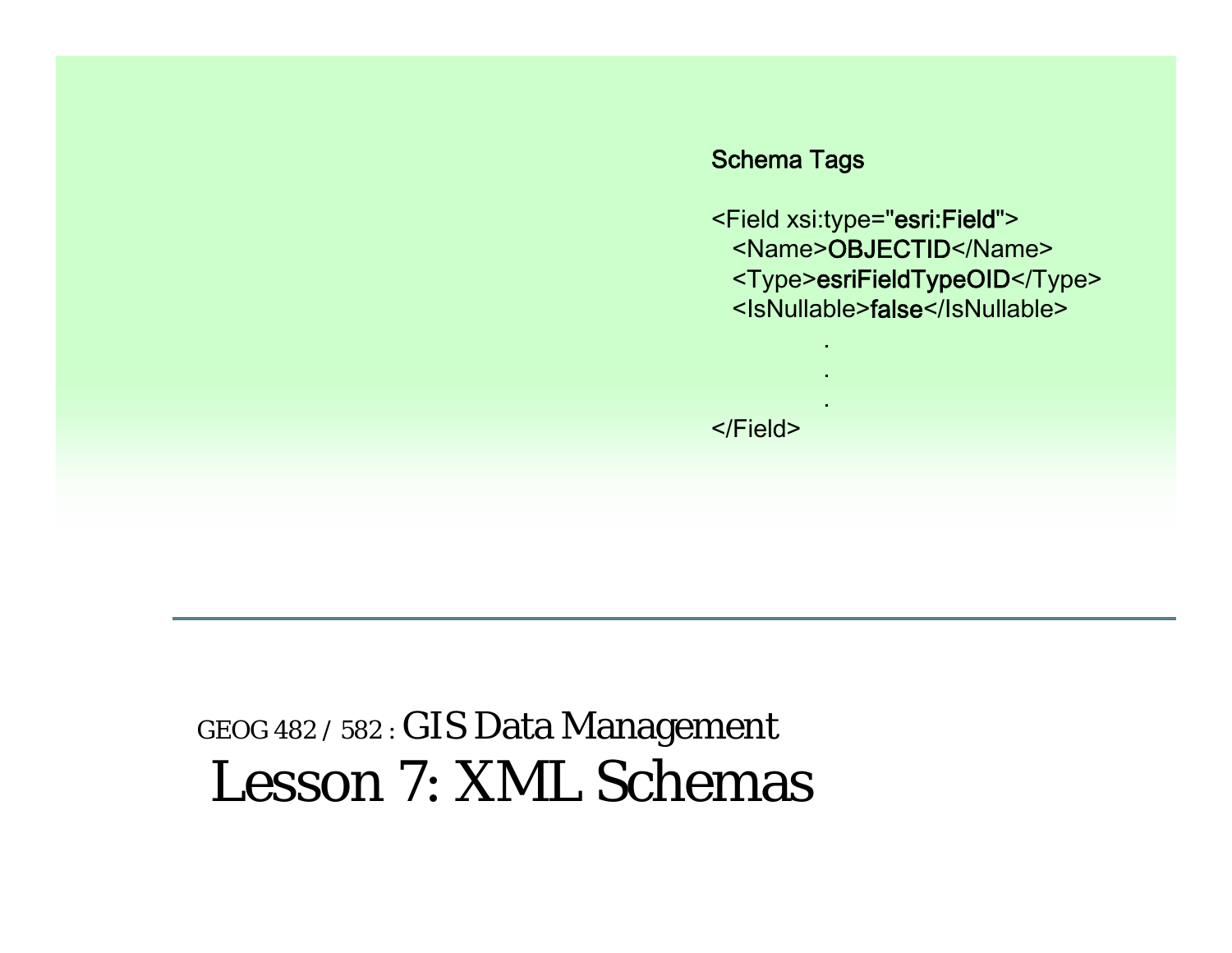

## GEOG 482 / 582 : GIS Data Management Lesson 7: XML Schemas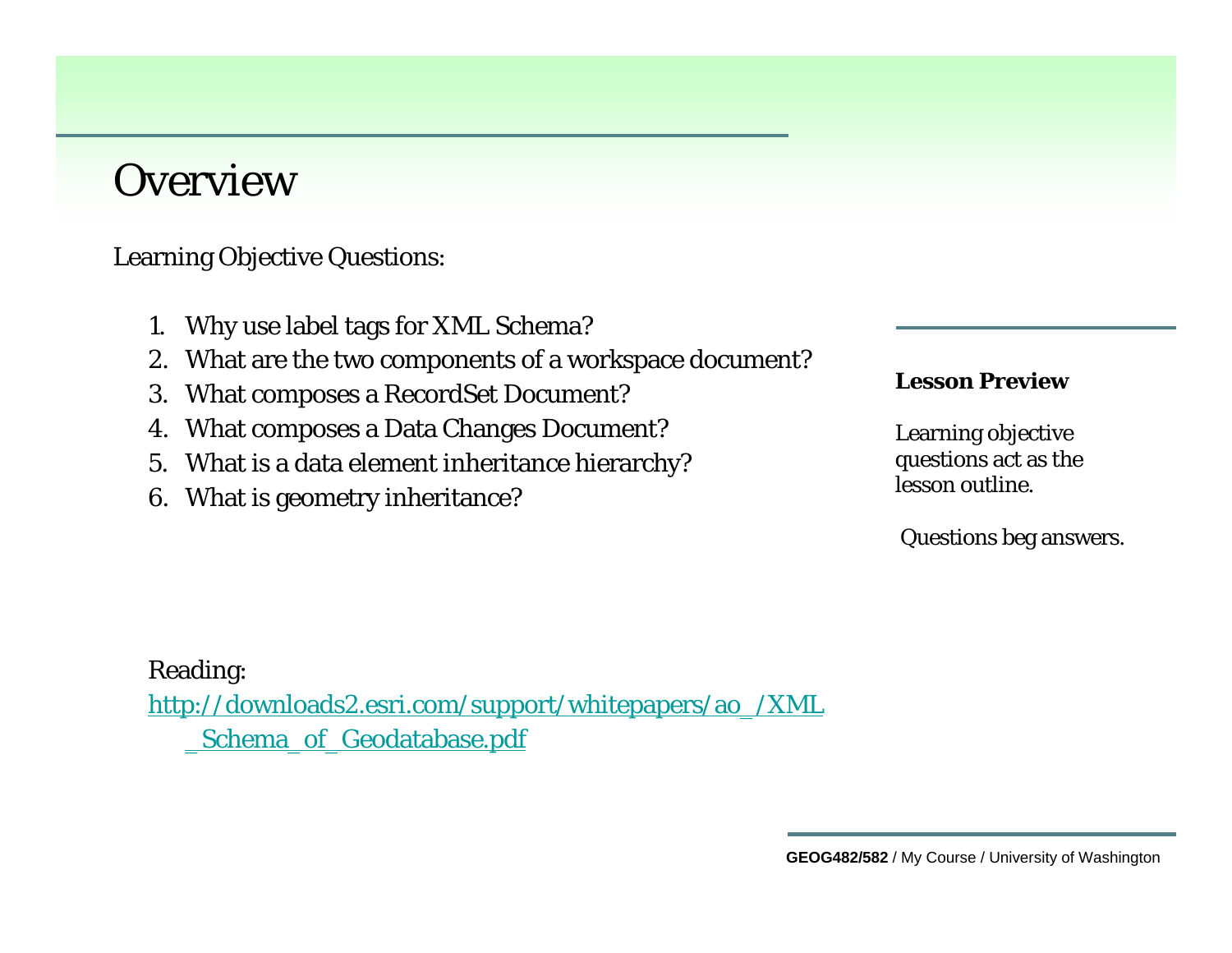#### **Overview**

Learning Objective Questions:

- 1. Why use label tags for XML Schema?
- 2. What are the two components of a workspace document?
- 3. What composes a RecordSet Document?
- 4. What composes a Data Changes Document?
- 5. What is a data element inheritance hierarchy?
- 6. What is geometry inheritance?

#### **Lesson Preview**

Learning objective questions act as the lesson outline.

Questions beg answers.

Reading: [http://downloads2.esri.com/support/whitepapers/ao\\_/XML](http://downloads2.esri.com/support/whitepapers/ao_/XML_Schema_of_Geodatabase.pdf)  \_[Schema\\_of\\_Geodatabase.pdf](http://downloads2.esri.com/support/whitepapers/ao_/XML_Schema_of_Geodatabase.pdf)

**GEOG482/582** / My Course / University of Washington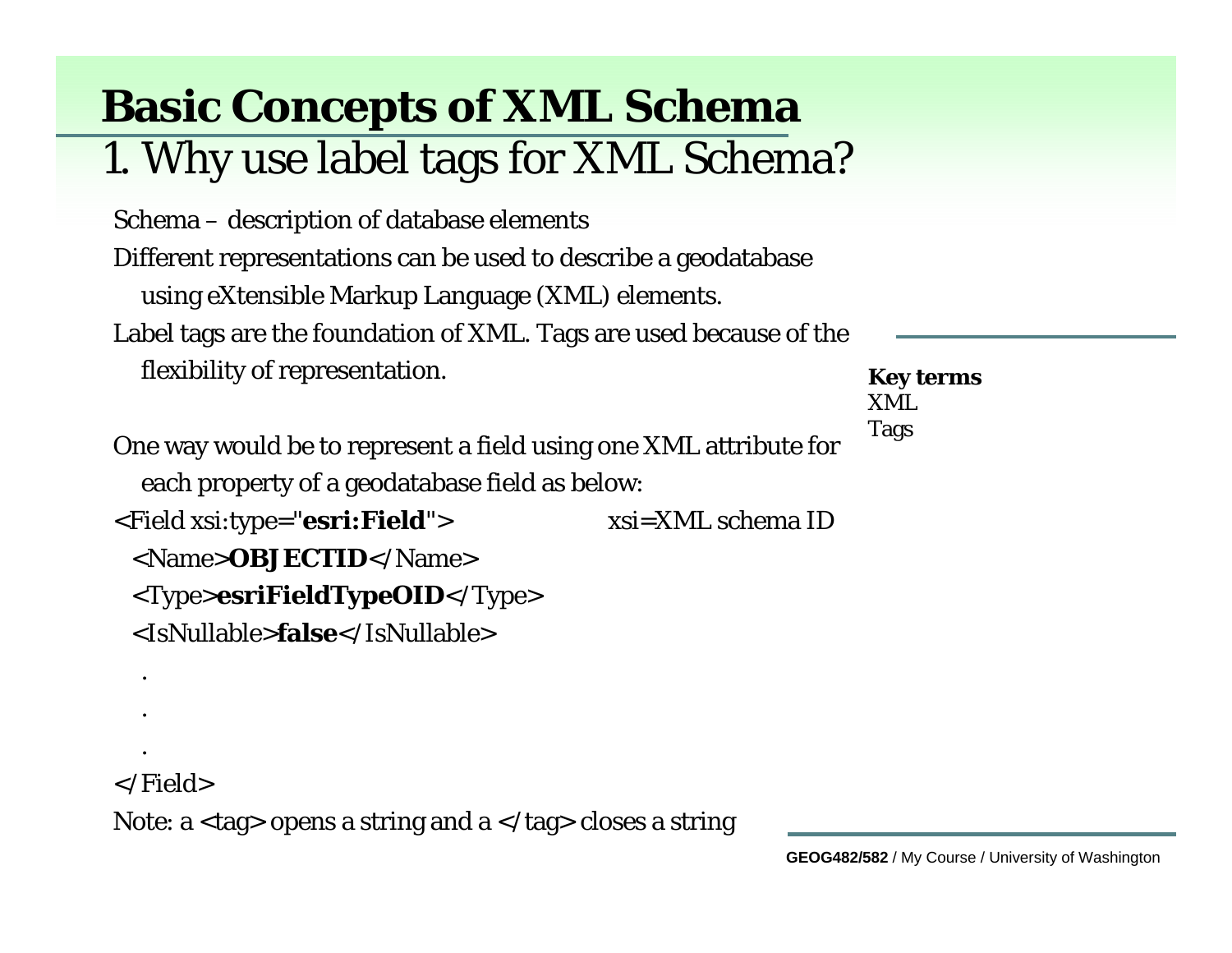# **Basic Concepts of XML Schema**

#### 1. Why use label tags for XML Schema?

Schema – description of database elements Different representations can be used to describe a geodatabase using eXtensible Markup Language (XML) elements. Label tags are the foundation of XML. Tags are used because of the flexibility of representation.

One way would be to represent a field using one XML attribute for each property of a geodatabase field as below: <Field xsi:type="**esri:Field**"> xsi=XML schema ID <Name>**OBJECTID**</Name><Type>**esriFieldTypeOID**</Type> <IsNullable>**false**</IsNullable>

**Key terms** XMLTags

</Field>

.

.

.

Note: a  $\langle \text{tag} \rangle$  opens a string and a  $\langle \text{tag} \rangle$  closes a string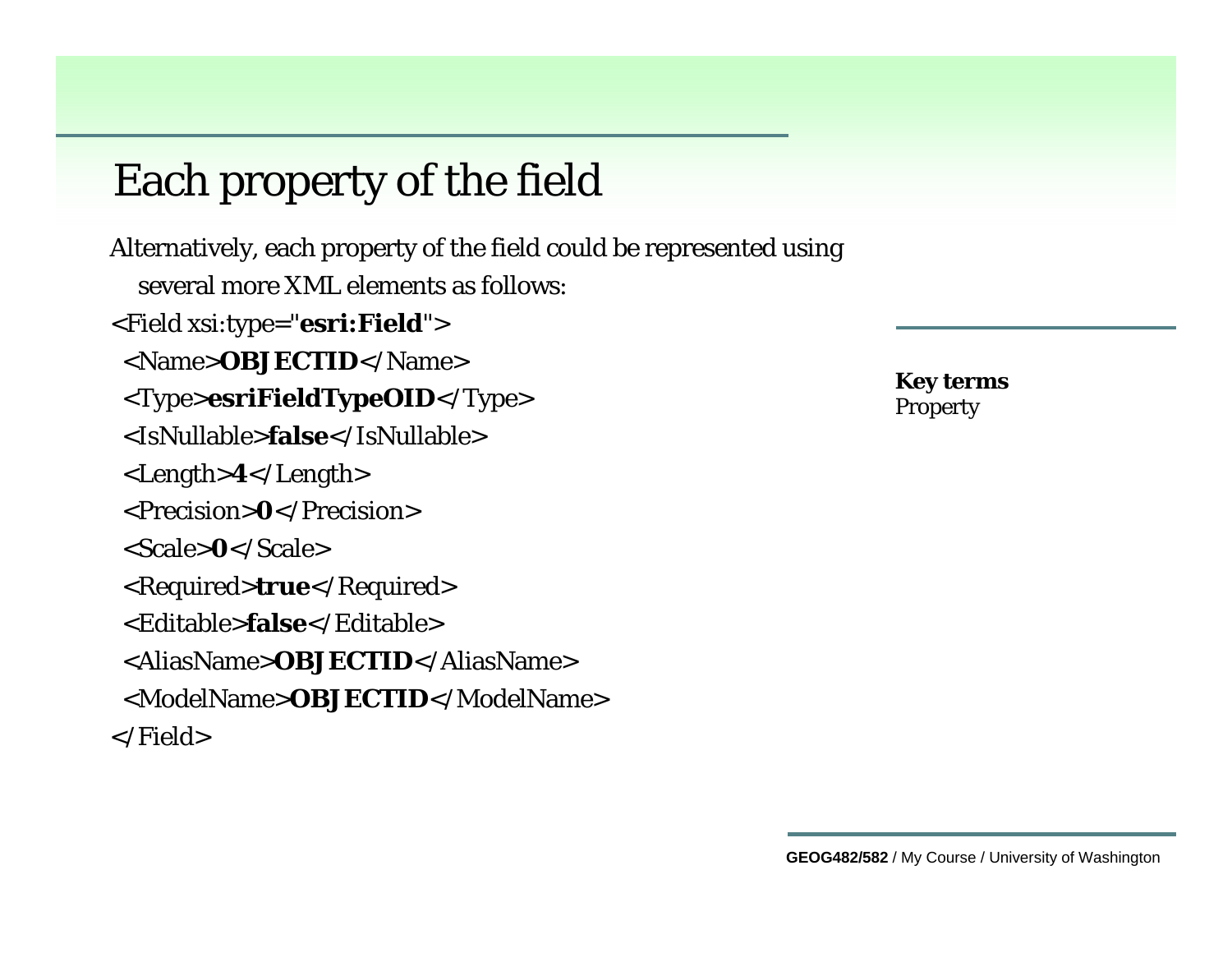### Each property of the field

Alternatively, each property of the field could be represented using several more XML elements as follows:<Field xsi:type="**esri:Field**"> <Name>**OBJECTID**</Name><Type>**esriFieldTypeOID**</Type> <IsNullable>**false**</IsNullable><Length>**4**</Length> <Precision>**0**</Precision><Scale>**0**</Scale><Required>**true**</Required> <Editable>**false**</Editable><AliasName>**OBJECTID**</AliasName><ModelName>**OBJECTID**</ModelName></Field>

**Key terms** Property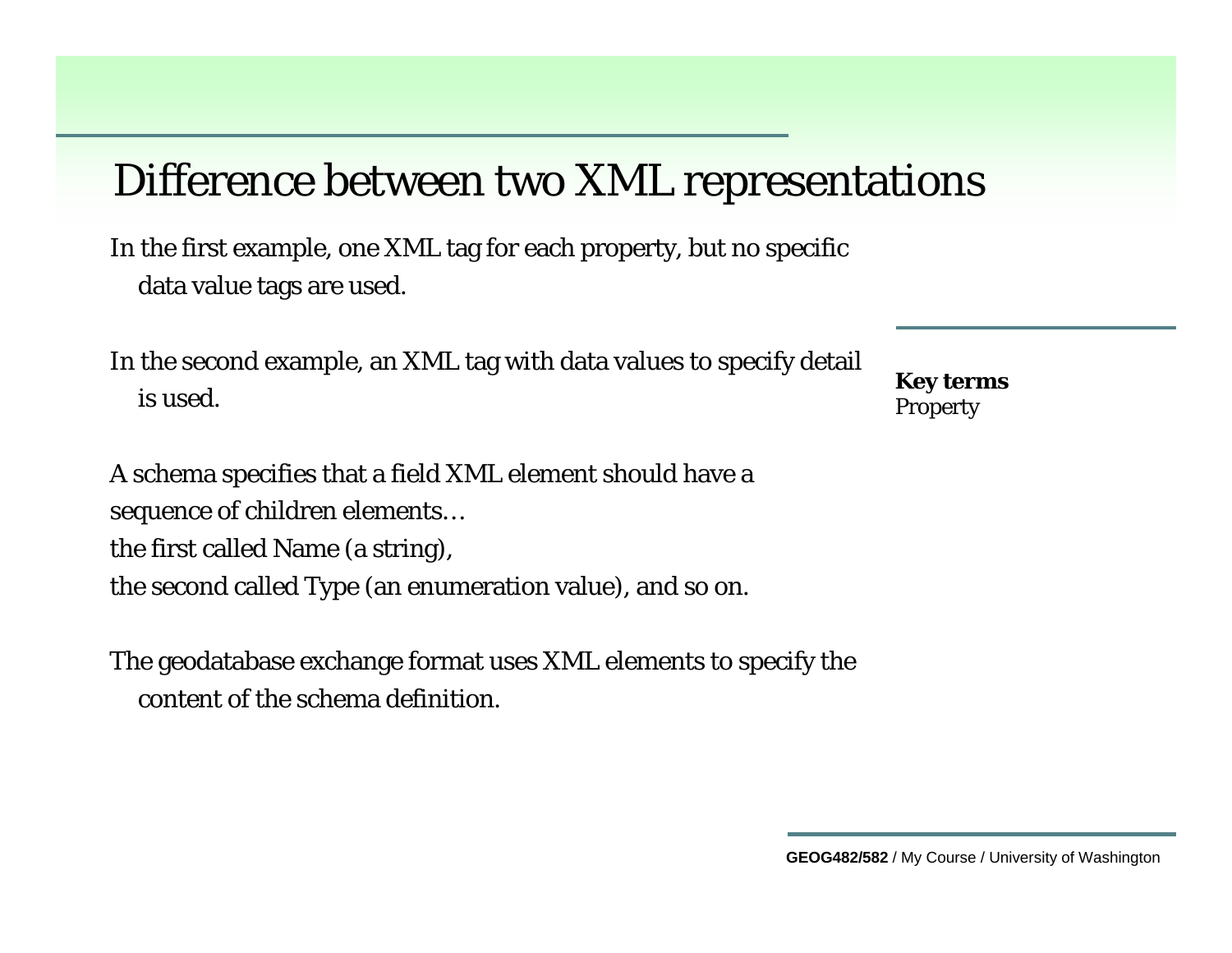#### Difference between two XML representations

In the first example, one XML tag for each property, but no specific data value tags are used.

In the second example, an XML tag with data values to specify detail is used.

**Key terms** Property

A schema specifies that a field XML element should have a sequence of children elements… the first called Name (a string), the second called Type (an enumeration value), and so on.

The geodatabase exchange format uses XML elements to specify the content of the schema definition.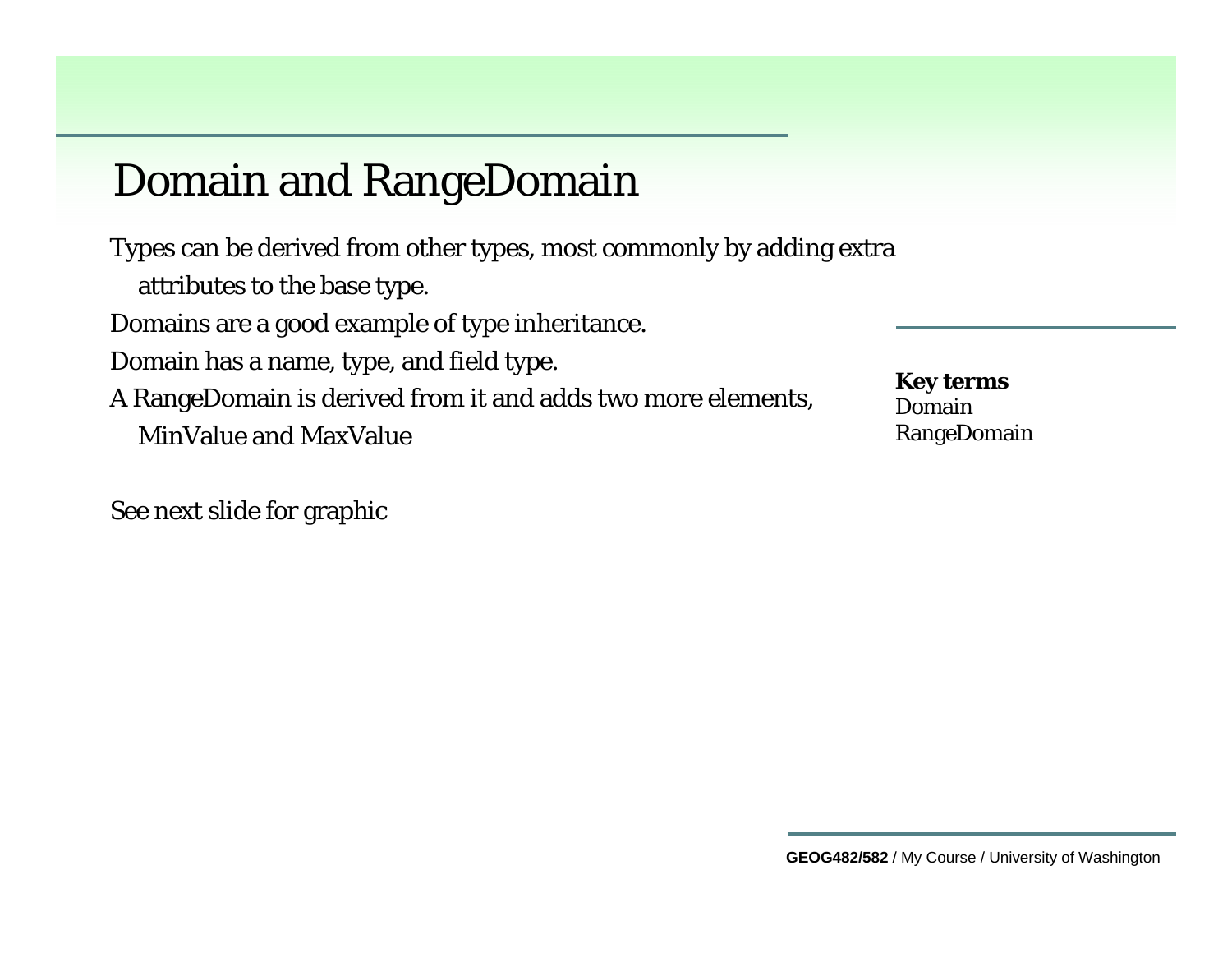#### Domain and RangeDomain

Types can be derived from other types, most commonly by adding extra attributes to the base type. Domains are a good example of type inheritance. Domain has a name, type, and field type. A RangeDomain is derived from it and adds two more elements, MinValue and MaxValue

See next slide for graphic

**Key terms** DomainRangeDomain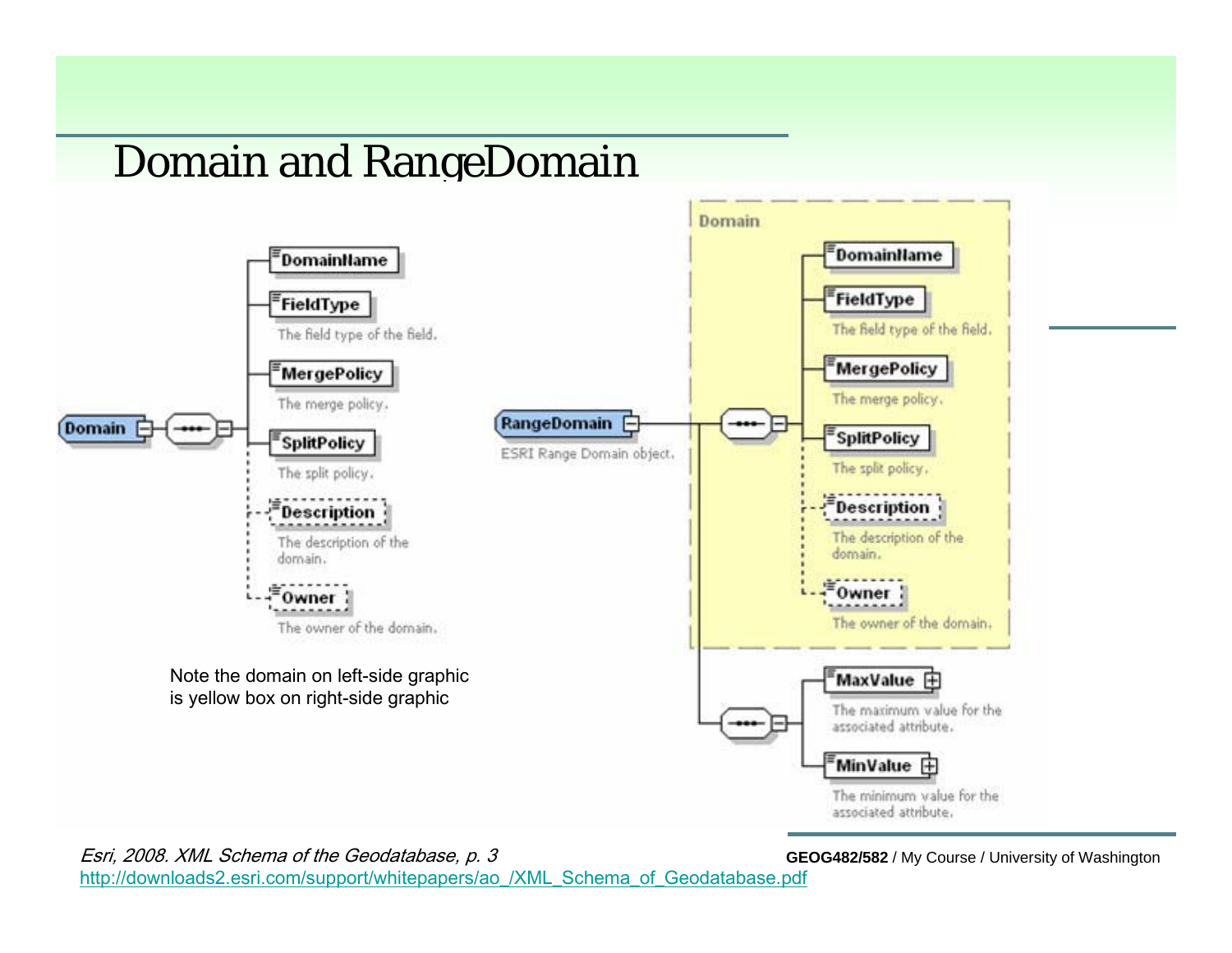#### Domain and RangeDomain



Esri, 2008. XML Schema of the Geodatabase, p. 3

**GEOG482/582** / My Course / University of Washington

[http://downloads2.esri.com/support/whitepapers/ao\\_/XML\\_Schema\\_of\\_Geodatabase.pdf](http://downloads2.esri.com/support/whitepapers/ao_/XML_Schema_of_Geodatabase.pdf)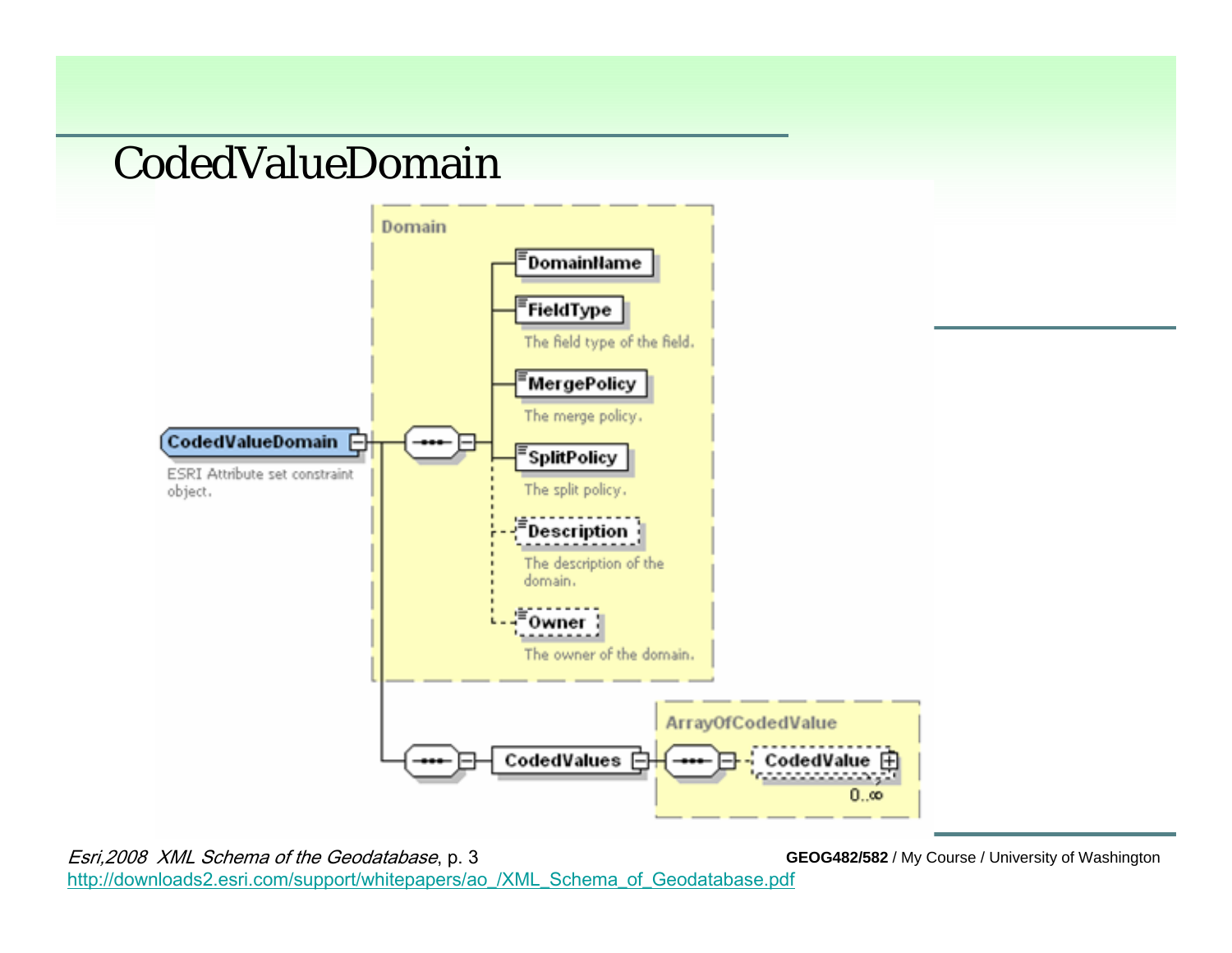#### CodedValueDomain



Esri,2008 XML Schema of the Geodatabase, p. 3 [http://downloads2.esri.com/support/whitepapers/ao\\_/XML\\_Schema\\_of\\_Geodatabase.pdf](http://downloads2.esri.com/support/whitepapers/ao_/XML_Schema_of_Geodatabase.pdf)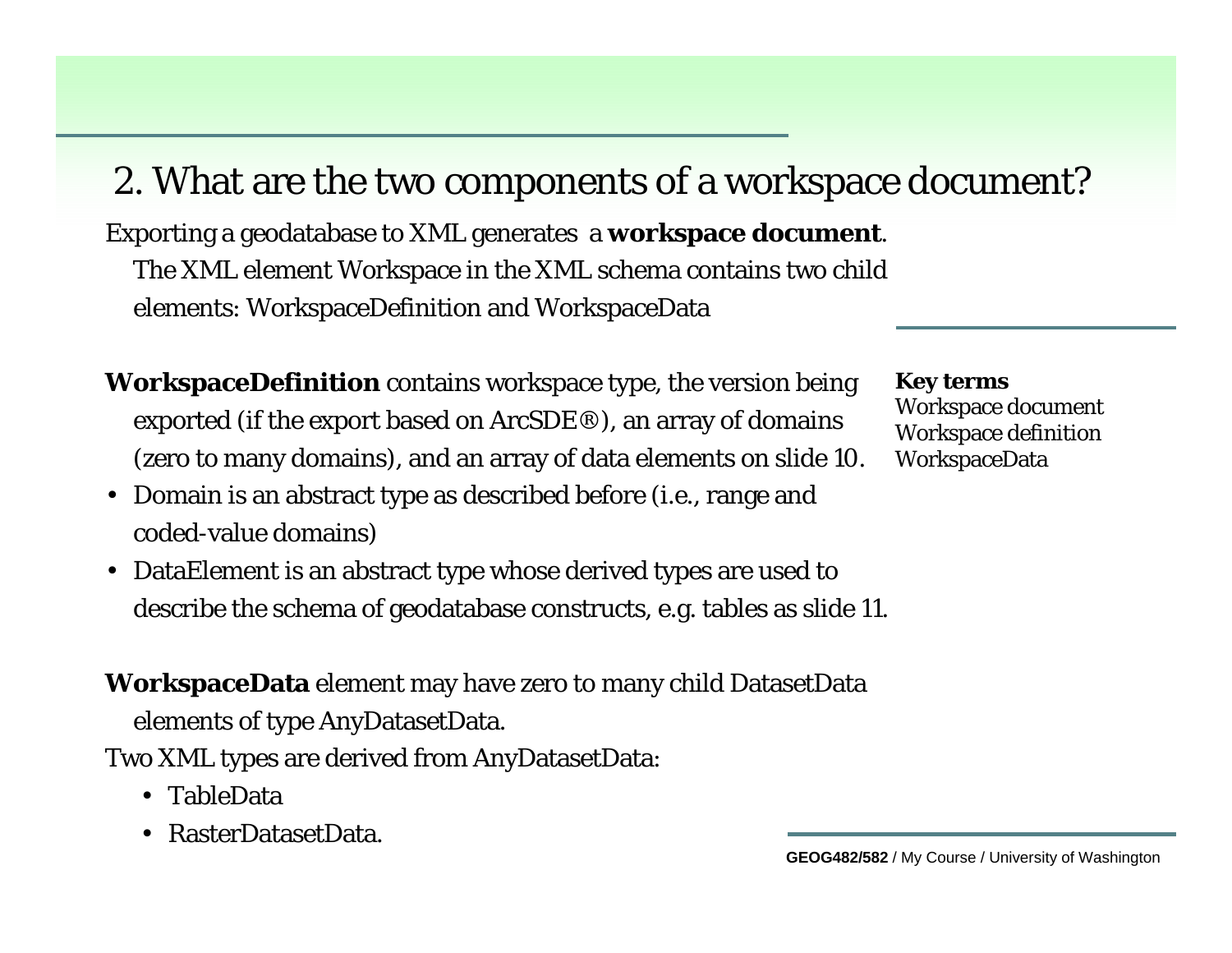#### 2. What are the two components of a workspace document?

Exporting a geodatabase to XML generates a **workspace document**. The XML element Workspace in the XML schema contains two child elements: WorkspaceDefinition and WorkspaceData

- **WorkspaceDefinition** contains workspace type, the version being exported (if the export based on ArcSDE®), an array of domains (zero to many domains), and an array of data elements on slide 10.
- Domain is an abstract type as described before (i.e., range and coded-value domains)
- DataElement is an abstract type whose derived types are used to describe the schema of geodatabase constructs, e.g. tables as slide 11.

**WorkspaceData** element may have zero to many child DatasetData

elements of type AnyDatasetData.

Two XML types are derived from AnyDatasetData:

- TableData
- RasterDatasetData.

**Key terms** Workspace document

Workspace definition WorkspaceData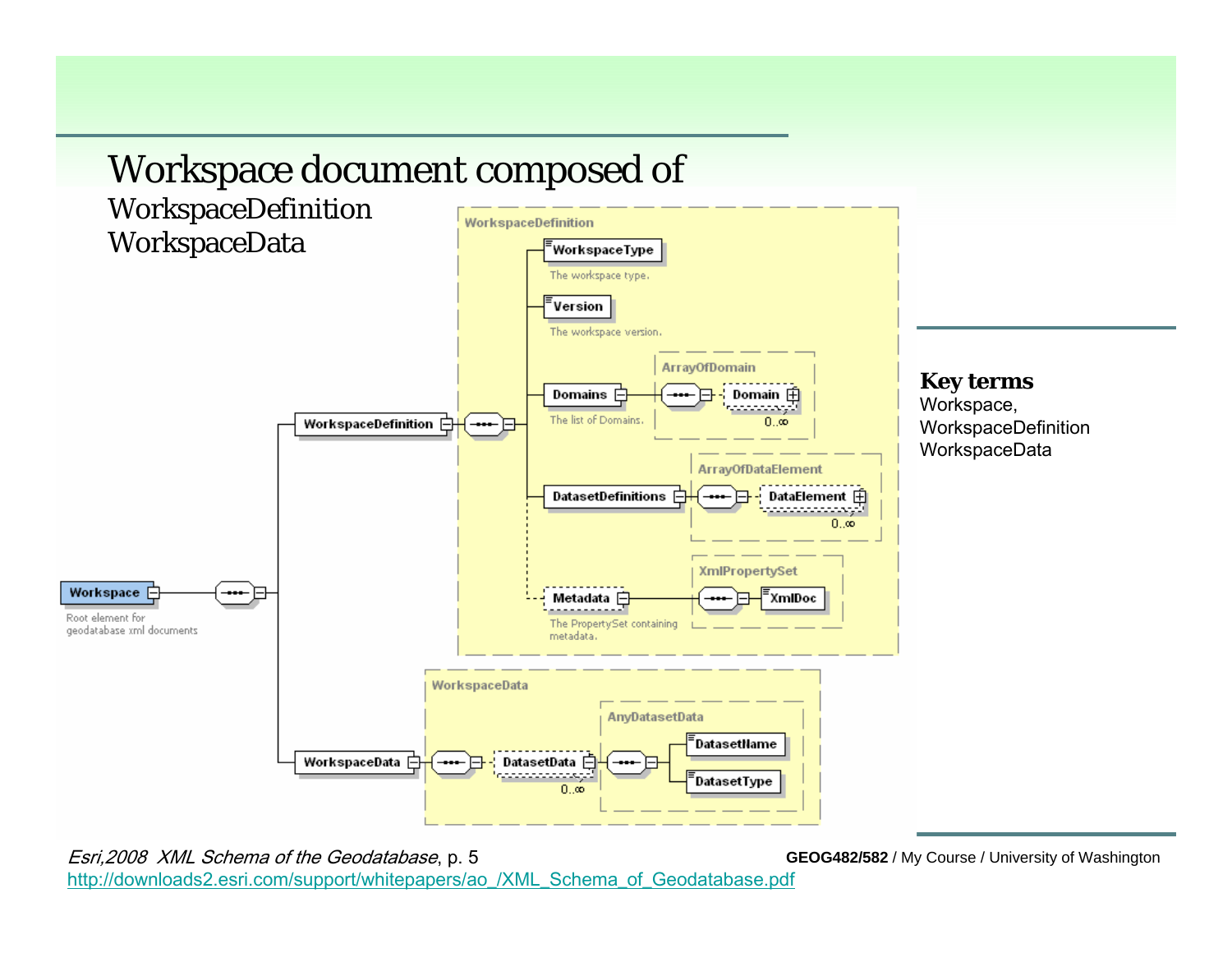

Esri,2008 XML Schema of the Geodatabase, p. 5 [http://downloads2.esri.com/support/whitepapers/ao\\_/XML\\_Schema\\_of\\_Geodatabase.pdf](http://downloads2.esri.com/support/whitepapers/ao_/XML_Schema_of_Geodatabase.pdf)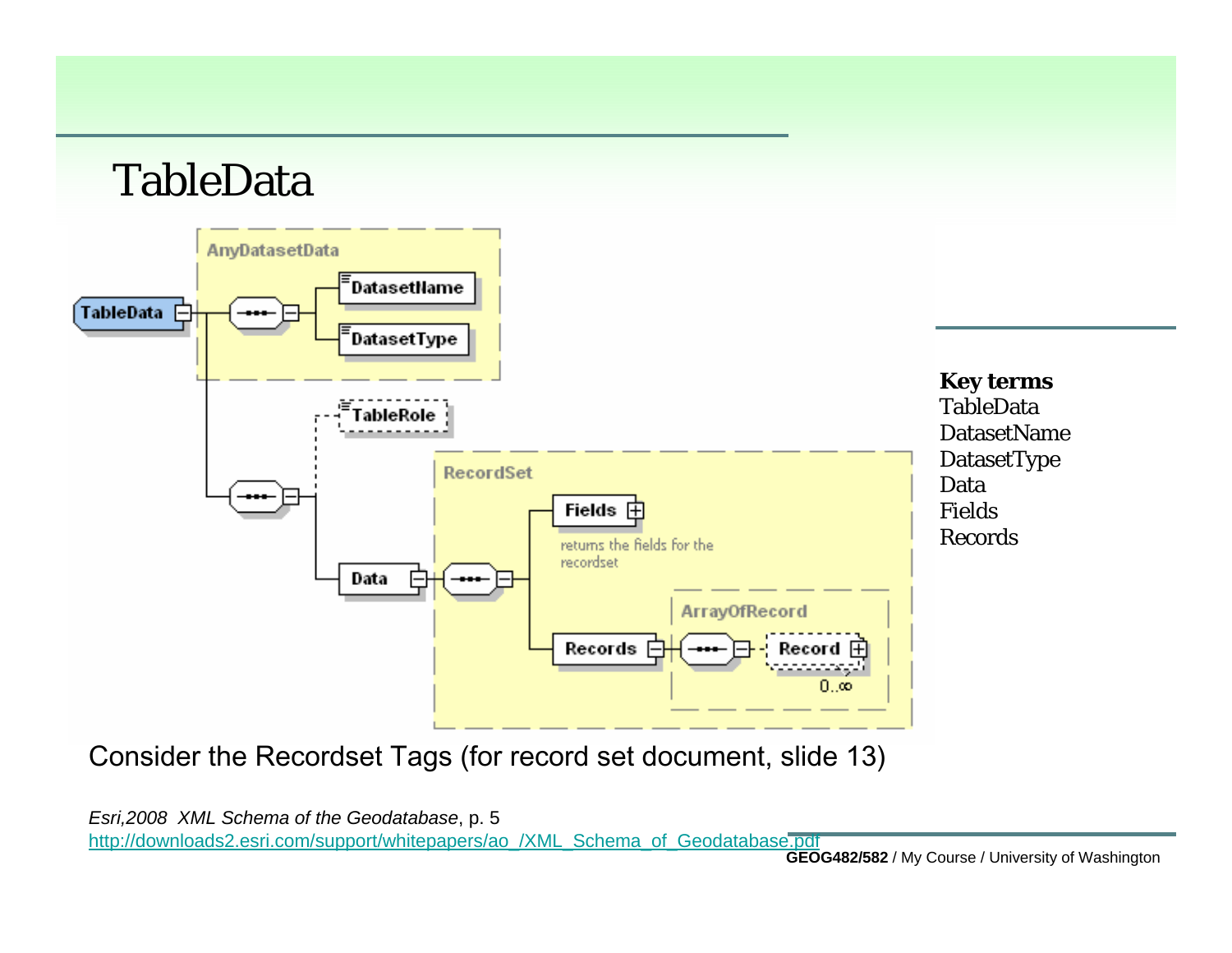#### TableData



Consider the Recordset Tags (for record set document, slide 13)

*Esri,2008 XML Schema of the Geodatabase*, p. 5 [http://downloads2.esri.com/support/whitepapers/ao\\_/XML\\_Schema\\_of\\_Geodatabase.pdf](http://downloads2.esri.com/support/whitepapers/ao_/XML_Schema_of_Geodatabase.pdf)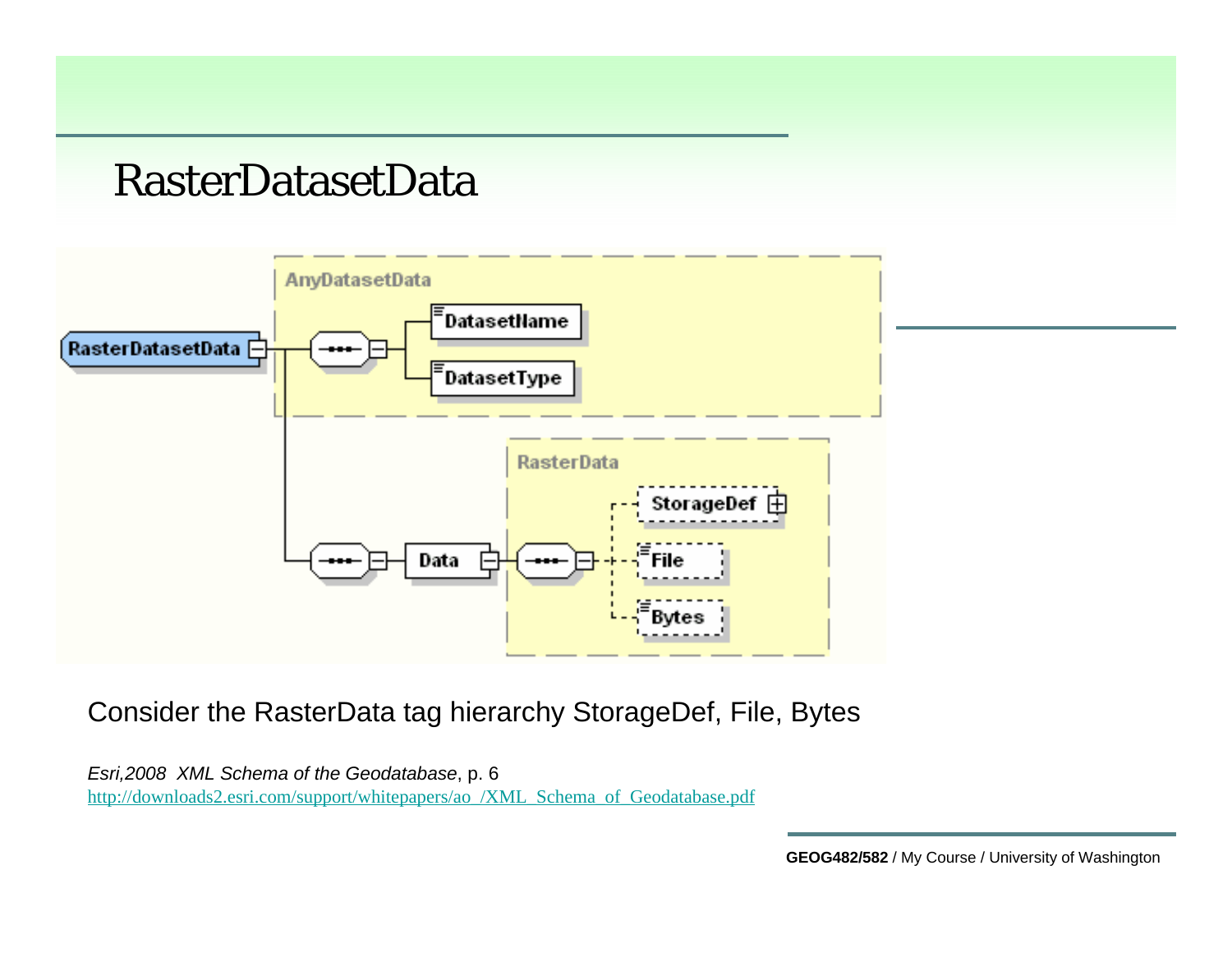#### RasterDatasetData



Consider the RasterData tag hierarchy StorageDef, File, Bytes

*Esri,2008 XML Schema of the Geodatabase*, p. 6 [http://downloads2.esri.com/support/whitepapers/ao\\_/XML\\_Schema\\_of\\_Geodatabase.pdf](http://downloads2.esri.com/support/whitepapers/ao_/XML_Schema_of_Geodatabase.pdf)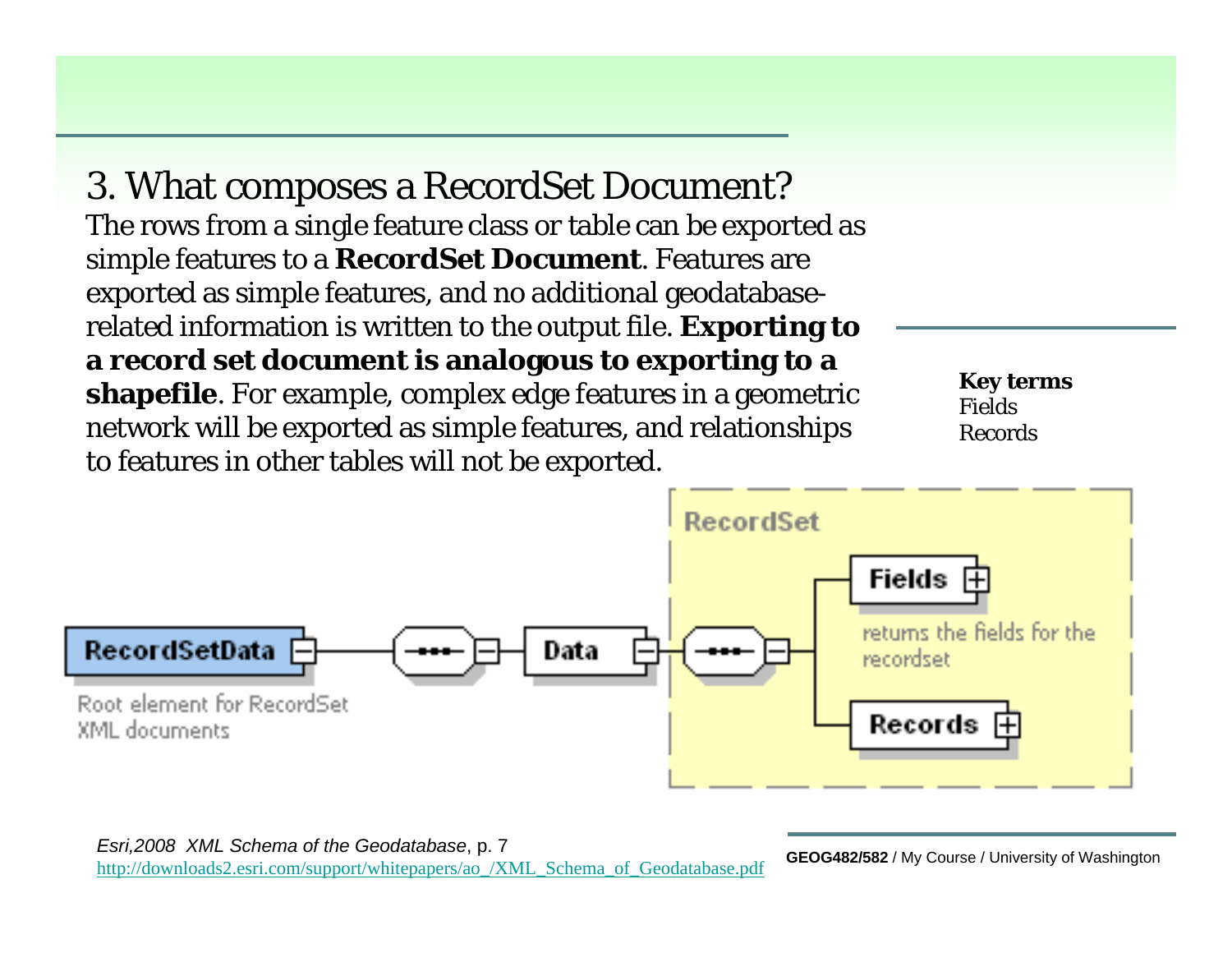3. What composes a RecordSet Document? The rows from a single feature class or table can be exported as simple features to a **RecordSet Document**. Features are exported as simple features, and no additional geodatabaserelated information is written to the output file. **Exporting to a record set document is analogous to exporting to a shapefile**. For example, complex edge features in a geometric network will be exported as simple features, and relationships to features in other tables will not be exported.

**Key terms** FieldsRecords



/ My Course / University of Washington *Esri,2008 XML Schema of the Geodatabase*, p. 7 [http://downloads2.esri.com/support/whitepapers/ao\\_/XML\\_Schema\\_of\\_Geodatabase.pdf](http://downloads2.esri.com/support/whitepapers/ao_/XML_Schema_of_Geodatabase.pdf)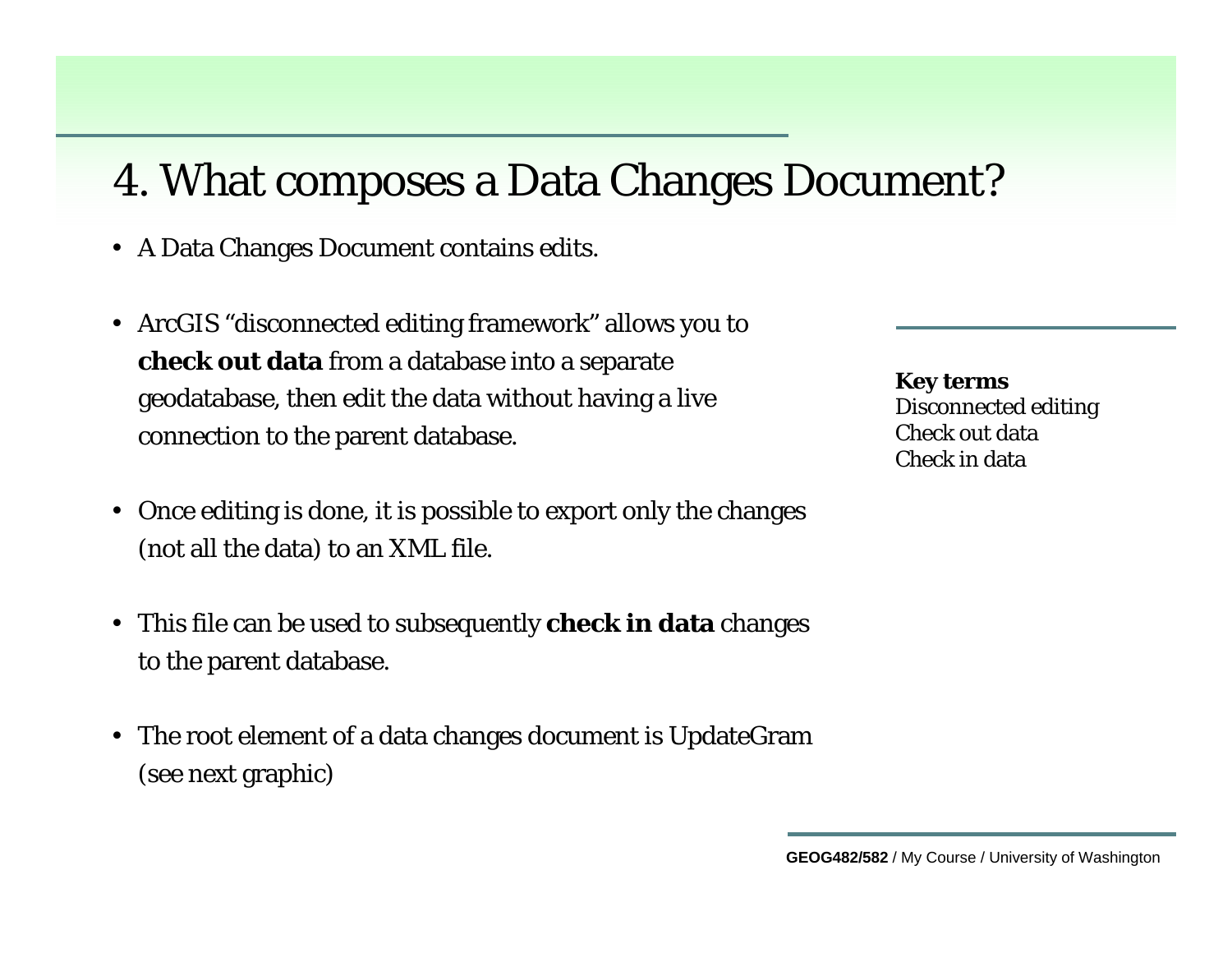#### 4. What composes a Data Changes Document?

- A Data Changes Document contains edits.
- ArcGIS "disconnected editing framework" allows you to **check out data** from a database into a separate geodatabase, then edit the data without having a live connection to the parent database.
- Once editing is done, it is possible to export only the changes (not all the data) to an XML file.
- This file can be used to subsequently **check in data** changes to the parent database.
- The root element of a data changes document is UpdateGram (see next graphic)

**Key terms** Disconnected editing Check out dataCheck in data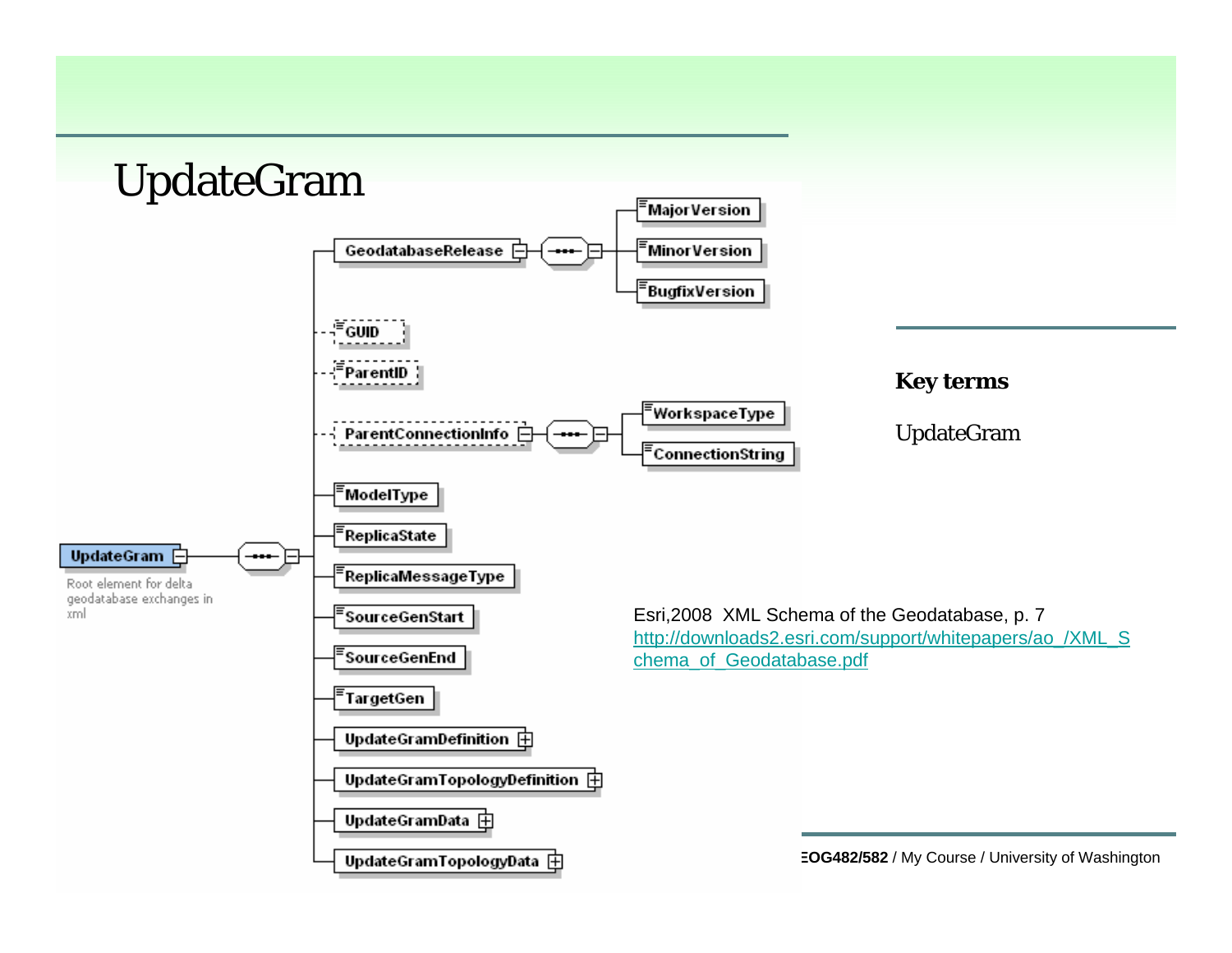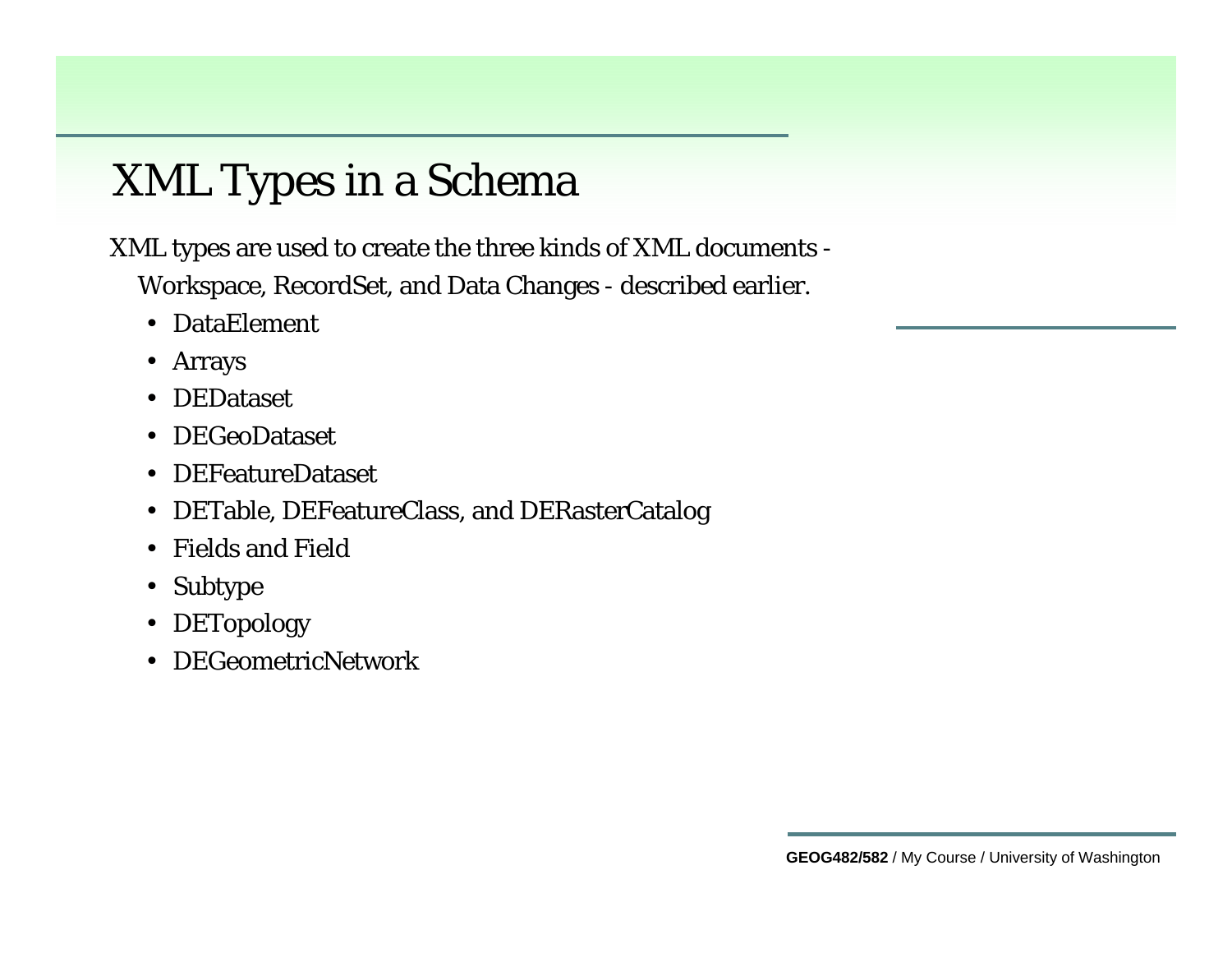## XML Types in a Schema

XML types are used to create the three kinds of XML documents -

Workspace, RecordSet, and Data Changes - described earlier.

- DataElement
- Arrays
- DEDataset
- DEGeoDataset
- DEFeatureDataset
- DETable, DEFeatureClass, and DERasterCatalog
- Fields and Field
- Subtype
- DETopology
- DEGeometricNetwork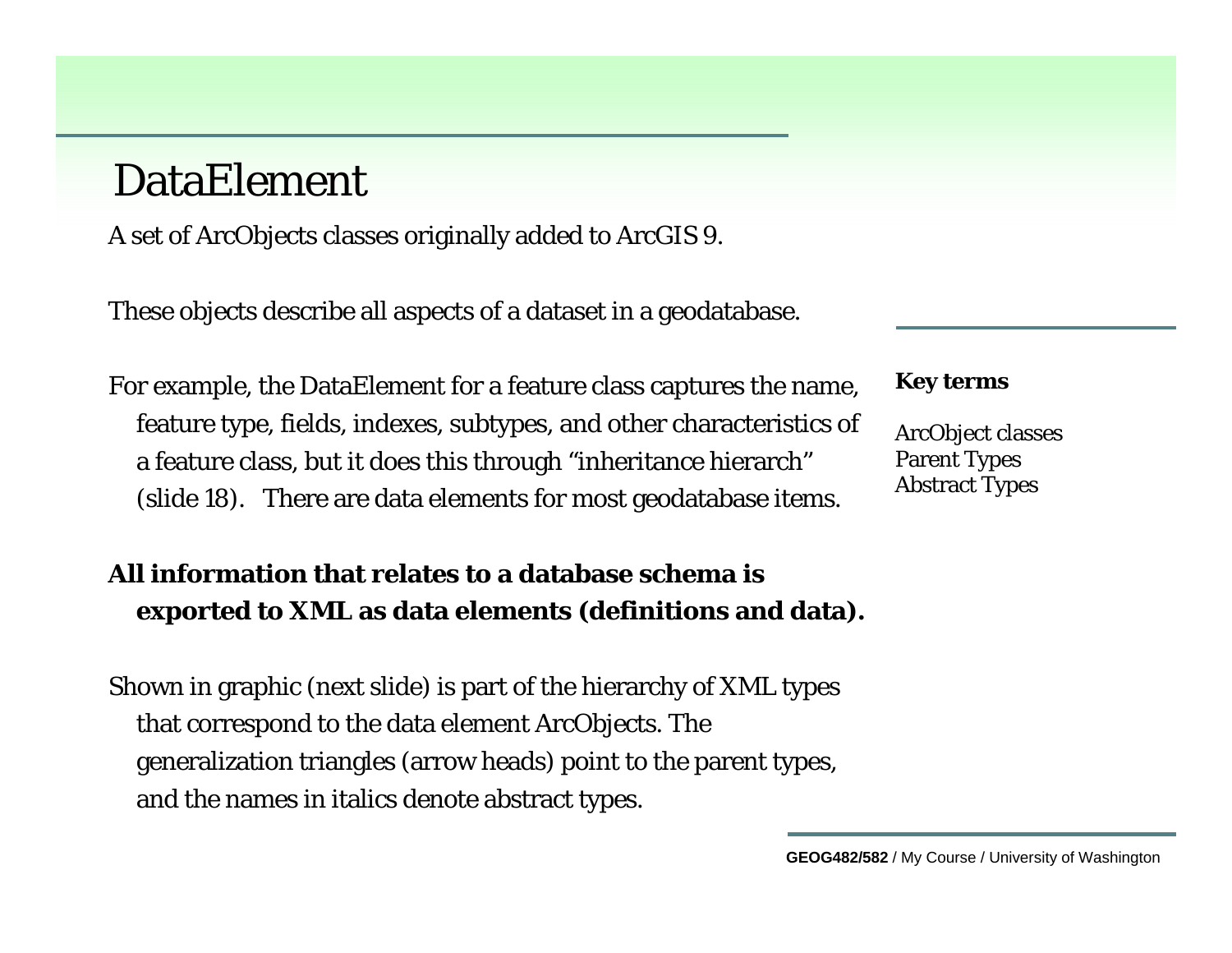#### DataElement

A set of ArcObjects classes originally added to ArcGIS 9.

These objects describe all aspects of a dataset in a geodatabase.

For example, the DataElement for a feature class captures the name, feature type, fields, indexes, subtypes, and other characteristics of a feature class, but it does this through "inheritance hierarch" (slide 18). There are data elements for most geodatabase items.

#### **Key terms**

ArcObject classes Parent Types Abstract Types

#### **All information that relates to a database schema is exported to XML as data elements (definitions and data).**

Shown in graphic (next slide) is part of the hierarchy of XML types that correspond to the data element ArcObjects. The generalization triangles (arrow heads) point to the parent types, and the names in italics denote abstract types.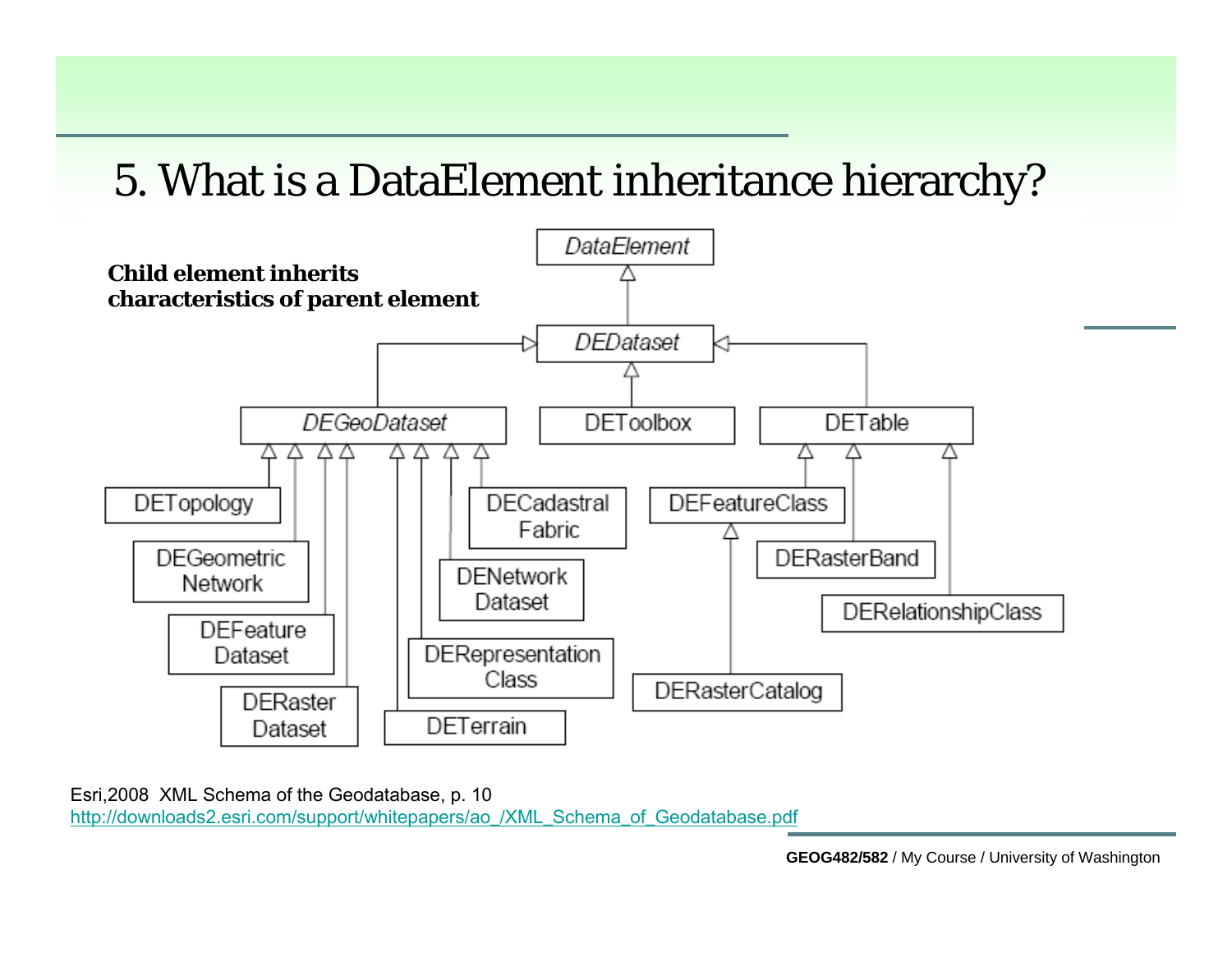#### 5. What is a DataElement inheritance hierarchy?



Esri,2008 XML Schema of the Geodatabase, p. 10 [http://downloads2.esri.com/support/whitepapers/ao\\_/XML\\_Schema\\_of\\_Geodatabase.pdf](http://downloads2.esri.com/support/whitepapers/ao_/XML_Schema_of_Geodatabase.pdf)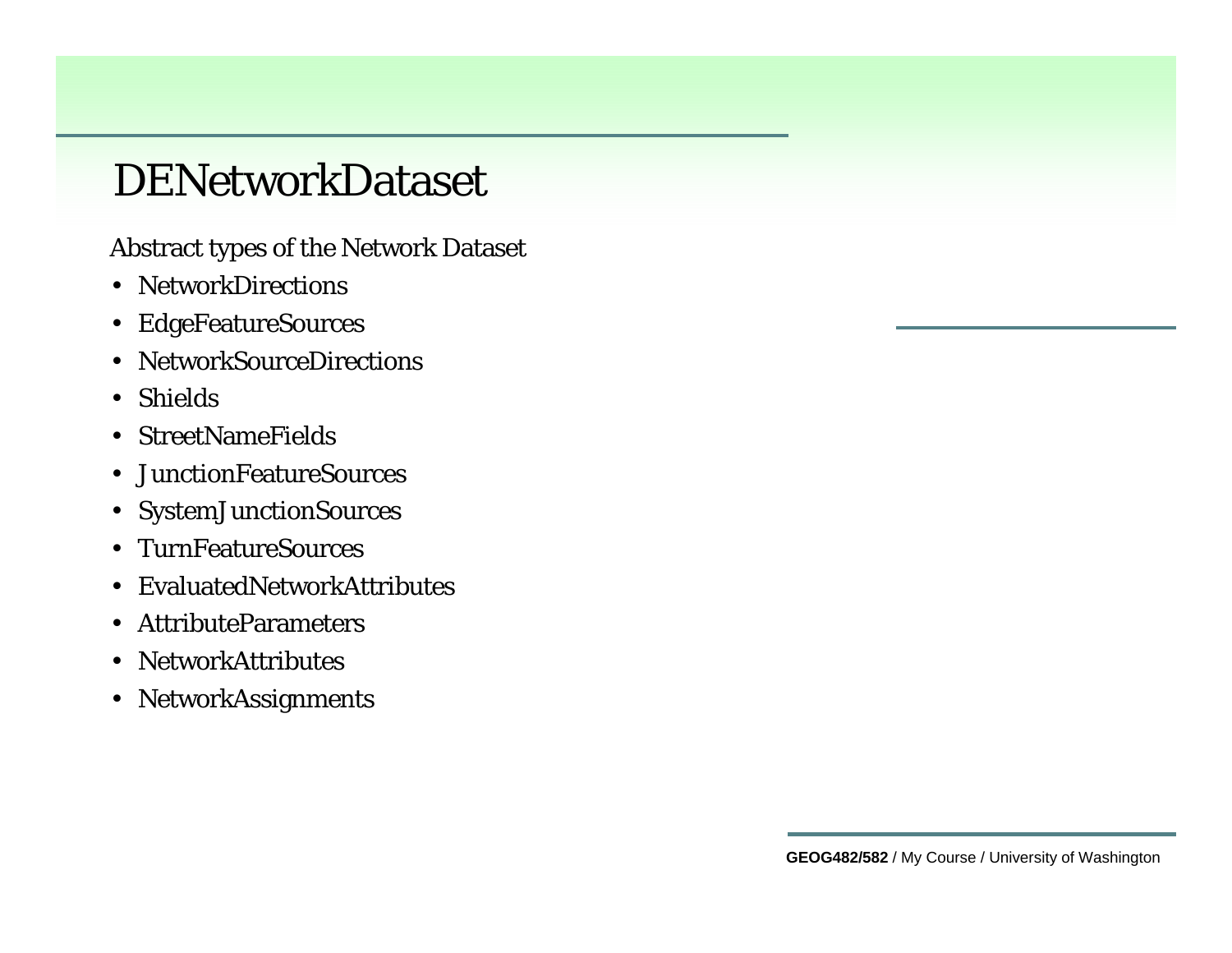#### DENetworkDataset

Abstract types of the Network Dataset

- NetworkDirections
- EdgeFeatureSources
- NetworkSourceDirections
- Shields
- StreetNameFields
- JunctionFeatureSources
- SystemJunctionSources
- TurnFeatureSources
- EvaluatedNetworkAttributes
- AttributeParameters
- NetworkAttributes
- NetworkAssignments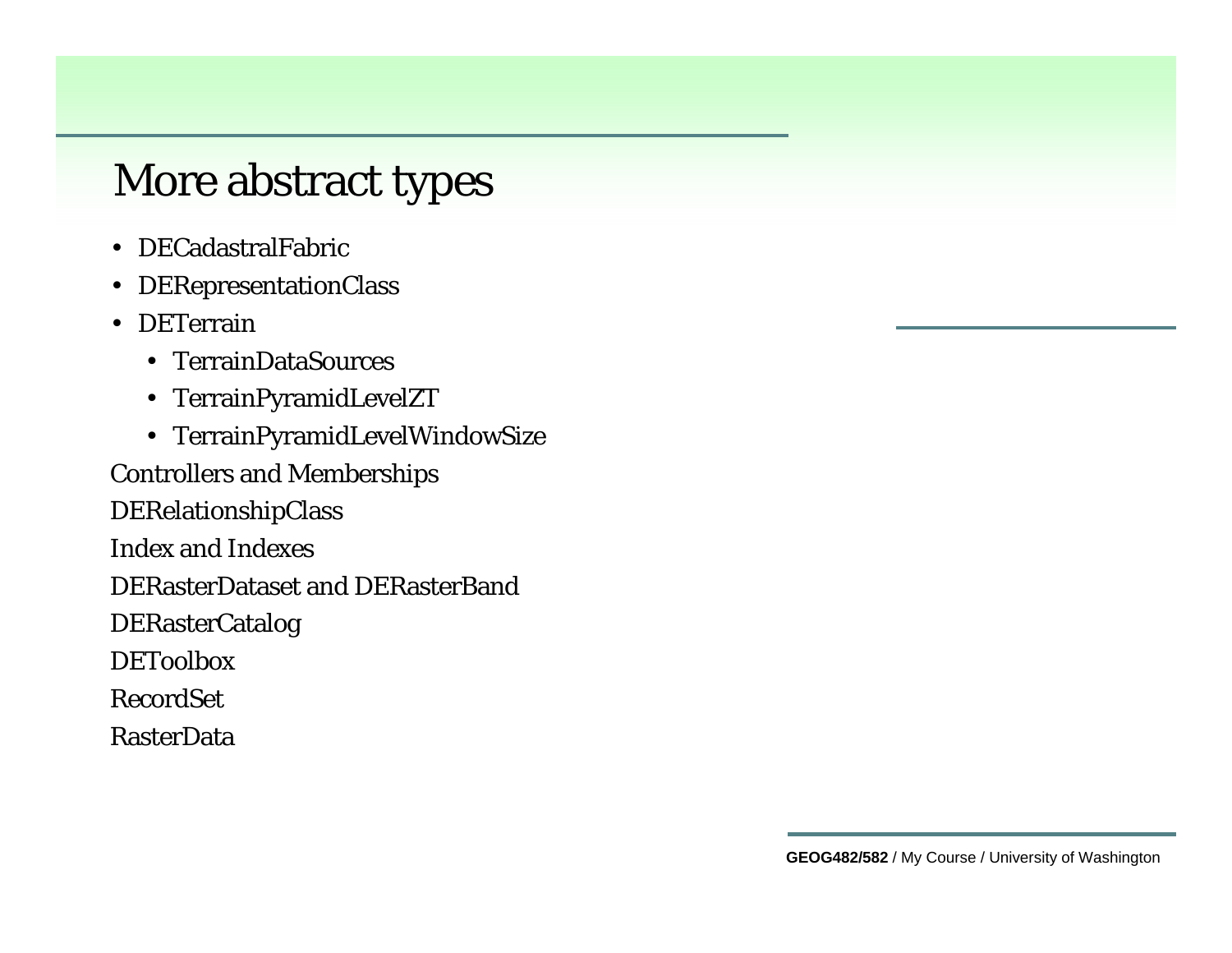#### More abstract types

- DECadastralFabric
- DERepresentationClass
- DETerrain
	- TerrainDataSources
	- TerrainPyramidLevelZT
	- TerrainPyramidLevelWindowSize

Controllers and Memberships

DERelationshipClass

Index and Indexes

DERasterDataset and DERasterBand

DERasterCatalog

DEToolbox

RecordSet

RasterData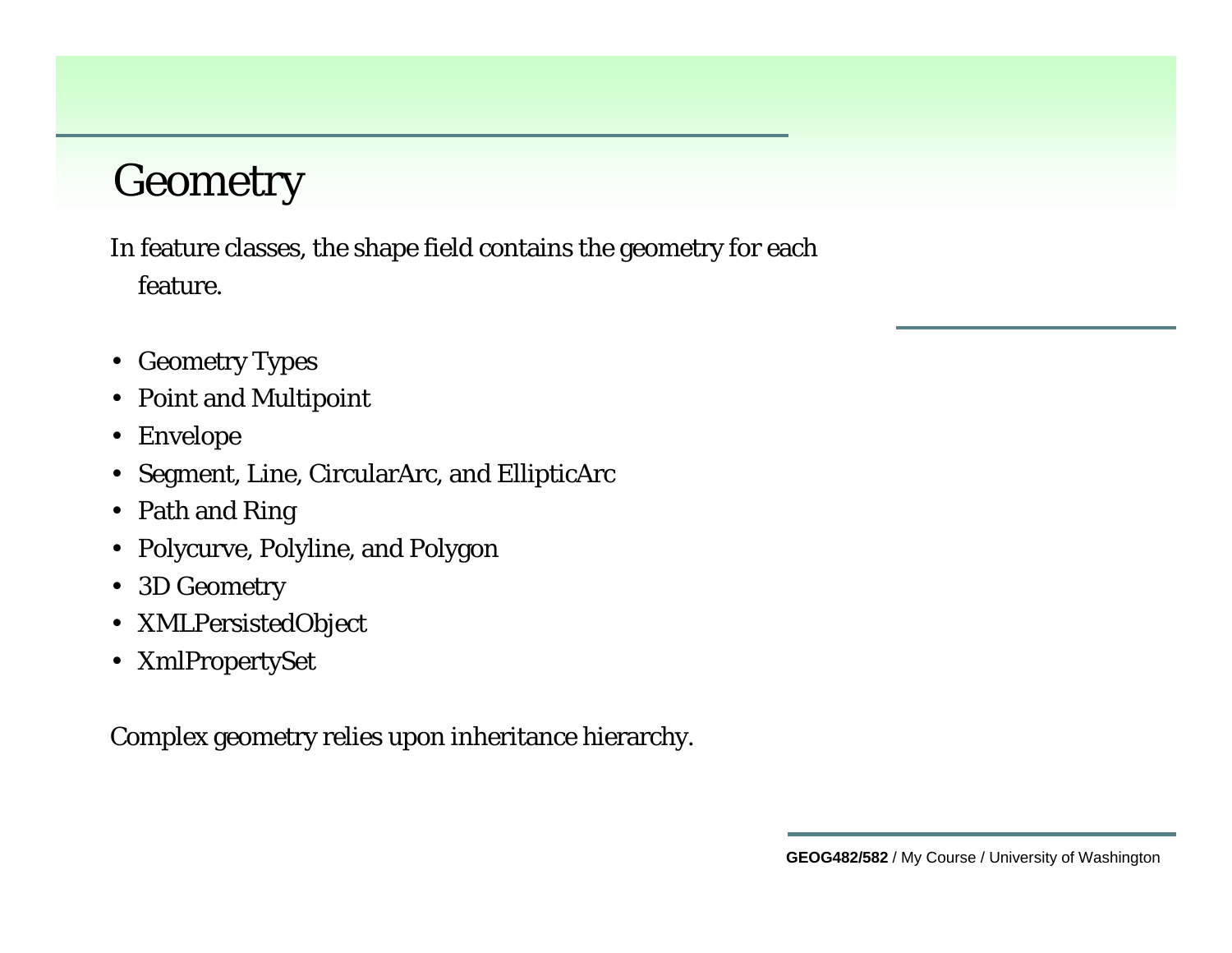### **Geometry**

In feature classes, the shape field contains the geometry for each feature.

- Geometry Types
- Point and Multipoint
- Envelope
- Segment, Line, CircularArc, and EllipticArc
- Path and Ring
- Polycurve, Polyline, and Polygon
- 3D Geometry
- XMLPersistedObject
- XmlPropertySet

Complex geometry relies upon inheritance hierarchy.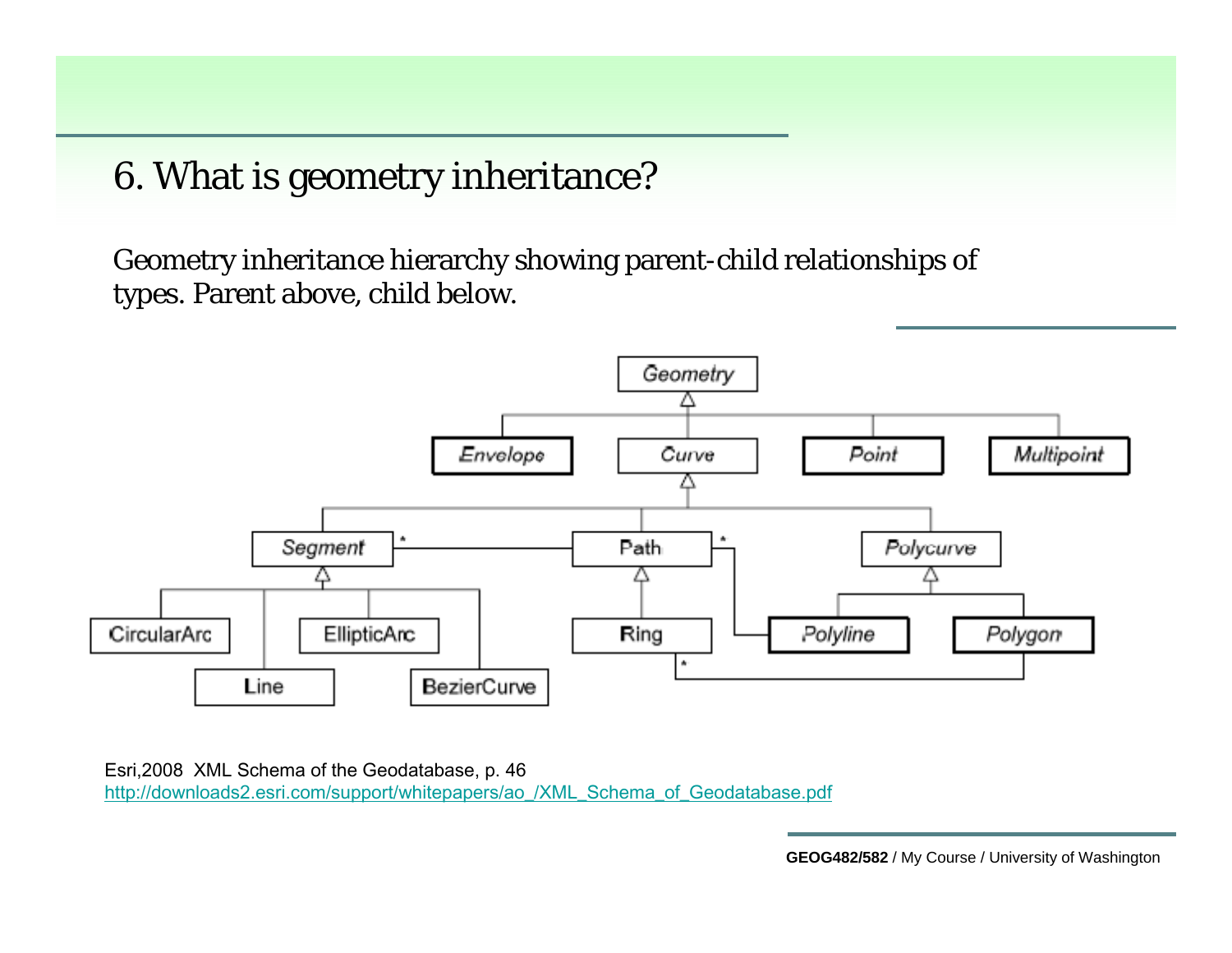6. What is geometry inheritance?

Geometry inheritance hierarchy showing parent-child relationships of types. Parent above, child below.



Esri,2008 XML Schema of the Geodatabase, p. 46 [http://downloads2.esri.com/support/whitepapers/ao\\_/XML\\_Schema\\_of\\_Geodatabase.pdf](http://downloads2.esri.com/support/whitepapers/ao_/XML_Schema_of_Geodatabase.pdf)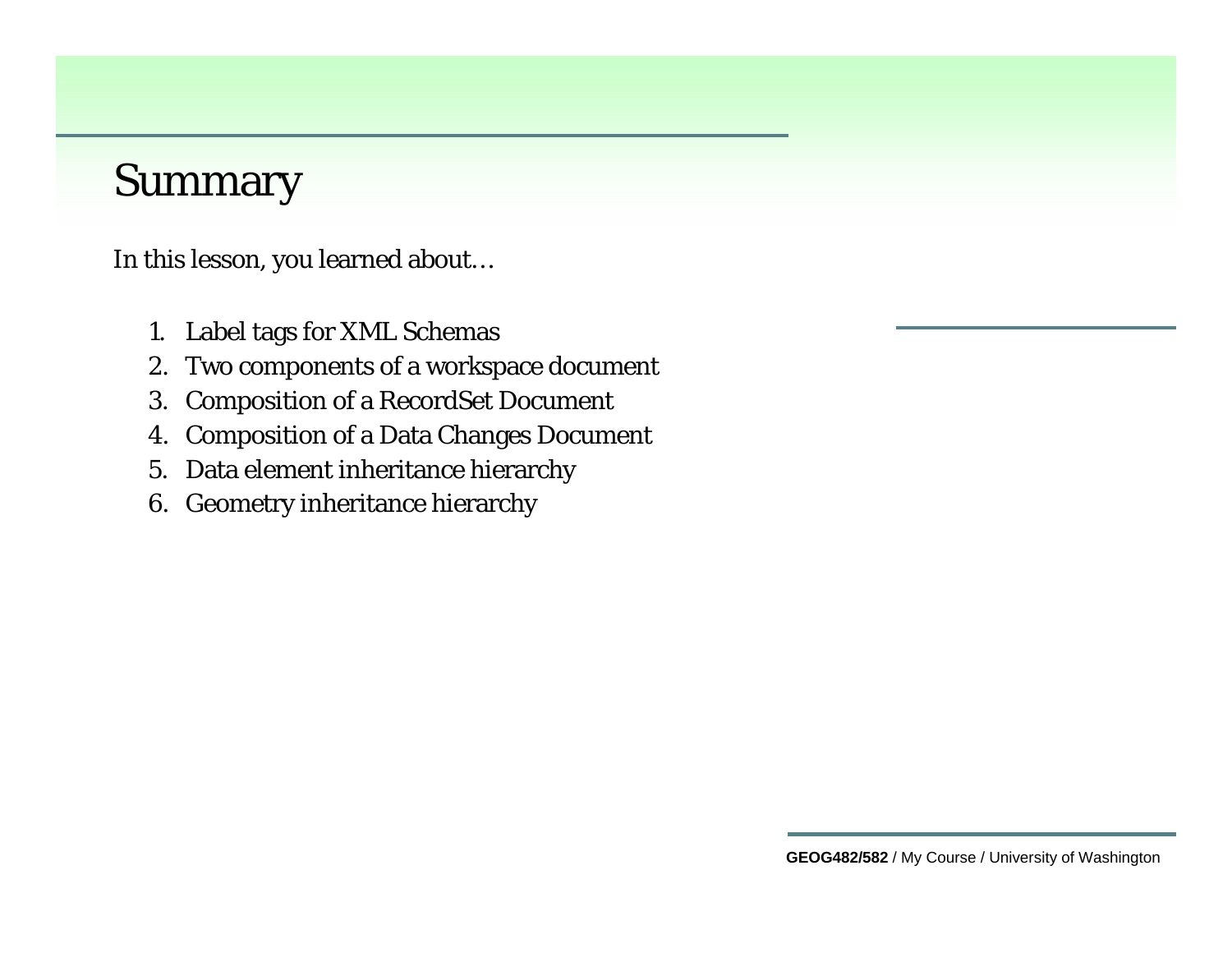#### Summary

In this lesson, you learned about…

- 1. Label tags for XML Schemas
- 2. Two components of a workspace document
- 3. Composition of a RecordSet Document
- 4. Composition of a Data Changes Document
- 5. Data element inheritance hierarchy
- 6. Geometry inheritance hierarchy